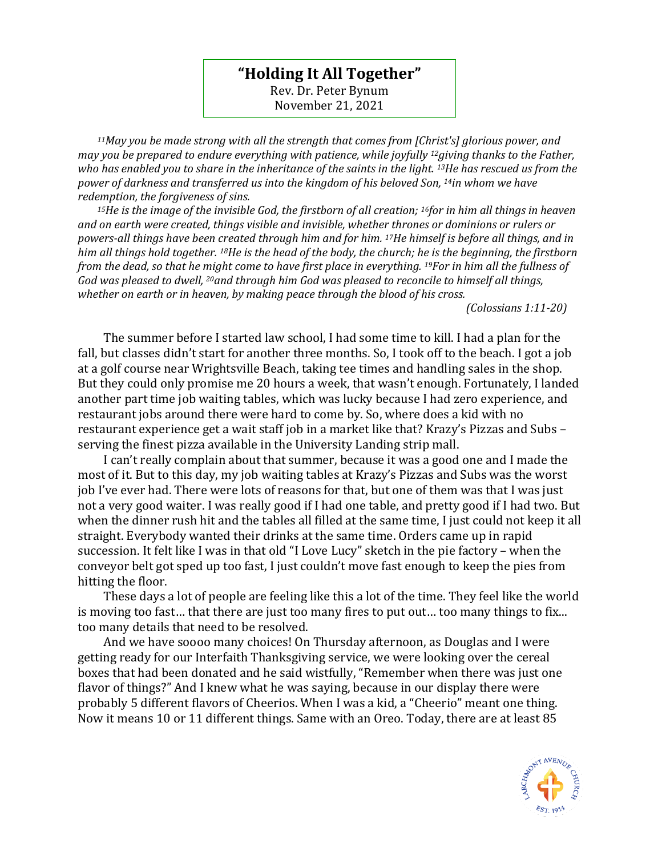## **"Holding It All Together"**

Rev. Dr. Peter Bynum November 21, 2021

*<sup>11</sup>May you be made strong with all the strength that comes from [Christ's] glorious power, and may you be prepared to endure everything with patience, while joyfully 12giving thanks to the Father, who has enabled you to share in the inheritance of the saints in the light. 13He has rescued us from the power of darkness and transferred us into the kingdom of his beloved Son, <sup>14</sup><i>in whom we have redemption, the forgiveness of sins.* 

*<sup>15</sup>He is the image of the invisible God, the firstborn of all creation; 16for in him all things in heaven and on earth were created, things visible and invisible, whether thrones or dominions or rulers or powers-all things have been created through him and for him. 17He himself is before all things, and in him all things hold together. 18He is the head of the body, the church; he is the beginning, the firstborn from the dead, so that he might come to have first place in everything. 19For in him all the fullness of God was pleased to dwell, 20and through him God was pleased to reconcile to himself all things, whether on earth or in heaven, by making peace through the blood of his cross.* 

 *(Colossians 1:11-20)*

The summer before I started law school, I had some time to kill. I had a plan for the fall, but classes didn't start for another three months. So, I took off to the beach. I got a job at a golf course near Wrightsville Beach, taking tee times and handling sales in the shop. But they could only promise me 20 hours a week, that wasn't enough. Fortunately, I landed another part time job waiting tables, which was lucky because I had zero experience, and restaurant jobs around there were hard to come by. So, where does a kid with no restaurant experience get a wait staff job in a market like that? Krazy's Pizzas and Subs – serving the finest pizza available in the University Landing strip mall.

I can't really complain about that summer, because it was a good one and I made the most of it. But to this day, my job waiting tables at Krazy's Pizzas and Subs was the worst job I've ever had. There were lots of reasons for that, but one of them was that I was just not a very good waiter. I was really good if I had one table, and pretty good if I had two. But when the dinner rush hit and the tables all filled at the same time, I just could not keep it all straight. Everybody wanted their drinks at the same time. Orders came up in rapid succession. It felt like I was in that old "I Love Lucy" sketch in the pie factory – when the conveyor belt got sped up too fast, I just couldn't move fast enough to keep the pies from hitting the floor.

These days a lot of people are feeling like this a lot of the time. They feel like the world is moving too fast… that there are just too many fires to put out… too many things to fix... too many details that need to be resolved.

And we have soooo many choices! On Thursday afternoon, as Douglas and I were getting ready for our Interfaith Thanksgiving service, we were looking over the cereal boxes that had been donated and he said wistfully, "Remember when there was just one flavor of things?" And I knew what he was saying, because in our display there were probably 5 different flavors of Cheerios. When I was a kid, a "Cheerio" meant one thing. Now it means 10 or 11 different things. Same with an Oreo. Today, there are at least 85

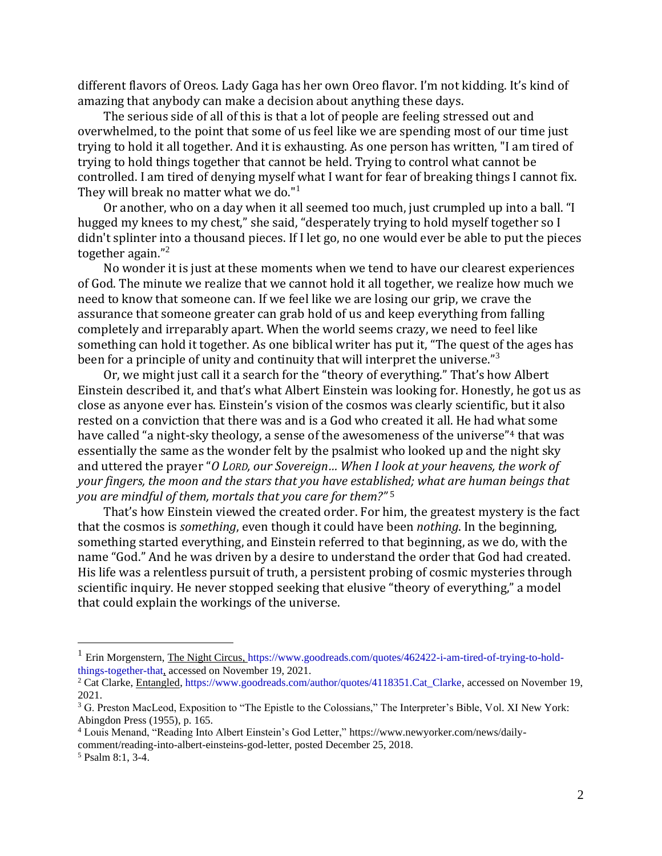different flavors of Oreos. Lady Gaga has her own Oreo flavor. I'm not kidding. It's kind of amazing that anybody can make a decision about anything these days.

The serious side of all of this is that a lot of people are feeling stressed out and overwhelmed, to the point that some of us feel like we are spending most of our time just trying to hold it all together. And it is exhausting. As one person has written, "I am tired of trying to hold things together that cannot be held. Trying to control what cannot be controlled. I am tired of denying myself what I want for fear of breaking things I cannot fix. They will break no matter what we do."<sup>1</sup>

Or another, who on a day when it all seemed too much, just crumpled up into a ball. "I hugged my knees to my chest," she said, "desperately trying to hold myself together so I didn't splinter into a thousand pieces. If I let go, no one would ever be able to put the pieces together again."<sup>2</sup>

No wonder it is just at these moments when we tend to have our clearest experiences of God. The minute we realize that we cannot hold it all together, we realize how much we need to know that someone can. If we feel like we are losing our grip, we crave the assurance that someone greater can grab hold of us and keep everything from falling completely and irreparably apart. When the world seems crazy, we need to feel like something can hold it together. As one biblical writer has put it, "The quest of the ages has been for a principle of unity and continuity that will interpret the universe."<sup>3</sup>

Or, we might just call it a search for the "theory of everything." That's how Albert Einstein described it, and that's what Albert Einstein was looking for. Honestly, he got us as close as anyone ever has. Einstein's vision of the cosmos was clearly scientific, but it also rested on a conviction that there was and is a God who created it all. He had what some have called "a night-sky theology, a sense of the awesomeness of the universe"<sup>4</sup> that was essentially the same as the wonder felt by the psalmist who looked up and the night sky and uttered the prayer "*O LORD, our Sovereign… When I look at your heavens, the work of your fingers, the moon and the stars that you have established; what are human beings that you are mindful of them, mortals that you care for them?"* <sup>5</sup>

That's how Einstein viewed the created order. For him, the greatest mystery is the fact that the cosmos is *something*, even though it could have been *nothing*. In the beginning, something started everything, and Einstein referred to that beginning, as we do, with the name "God." And he was driven by a desire to understand the order that God had created. His life was a relentless pursuit of truth, a persistent probing of cosmic mysteries through scientific inquiry. He never stopped seeking that elusive "theory of everything," a model that could explain the workings of the universe.

<sup>&</sup>lt;sup>1</sup> Erin Morgenstern, The Night Circus, [https://www.goodreads.com/quotes/462422-i-am-tired-of-trying-to-hold](https://www.goodreads.com/quotes/462422-i-am-tired-of-trying-to-hold-things-together-that)[things-together-that,](https://www.goodreads.com/quotes/462422-i-am-tired-of-trying-to-hold-things-together-that) accessed on November 19, 2021.

<sup>&</sup>lt;sup>2</sup> Cat Clarke, Entangled, [https://www.goodreads.com/author/quotes/4118351.Cat\\_Clarke,](https://www.goodreads.com/author/quotes/4118351.Cat_Clarke) accessed on November 19, 2021.

<sup>&</sup>lt;sup>3</sup> G. Preston MacLeod, Exposition to "The Epistle to the Colossians," The Interpreter's Bible, Vol. XI New York: Abingdon Press (1955), p. 165.

<sup>4</sup> Louis Menand, "Reading Into Albert Einstein's God Letter," [https://www.newyorker.com/news/daily](https://www.newyorker.com/news/daily-comment/reading-into-albert-einsteins-god-letter)[comment/reading-into-albert-einsteins-god-letter,](https://www.newyorker.com/news/daily-comment/reading-into-albert-einsteins-god-letter) posted December 25, 2018.

<sup>5</sup> Psalm 8:1, 3-4.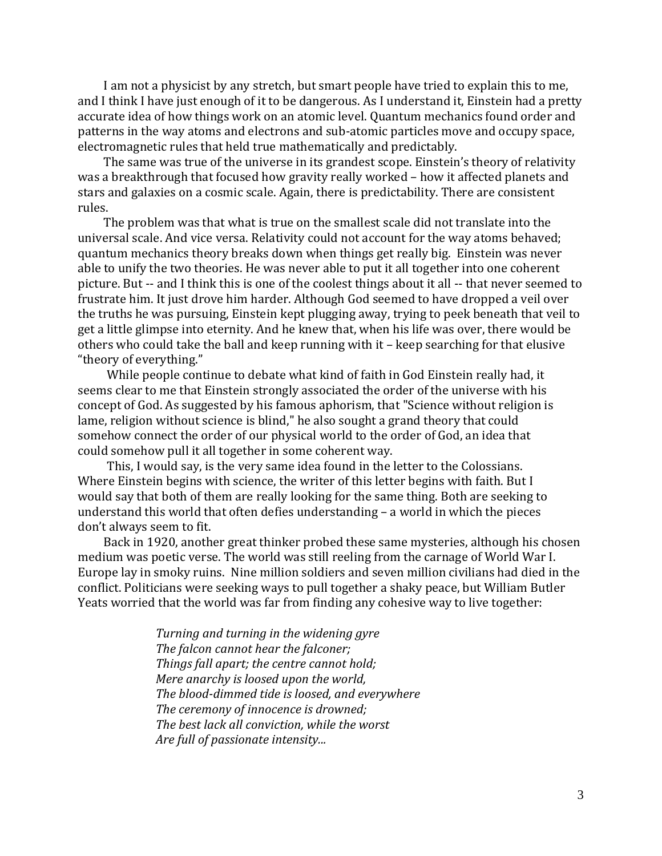I am not a physicist by any stretch, but smart people have tried to explain this to me, and I think I have just enough of it to be dangerous. As I understand it, Einstein had a pretty accurate idea of how things work on an atomic level. Quantum mechanics found order and patterns in the way atoms and electrons and sub-atomic particles move and occupy space, electromagnetic rules that held true mathematically and predictably.

The same was true of the universe in its grandest scope. Einstein's theory of relativity was a breakthrough that focused how gravity really worked – how it affected planets and stars and galaxies on a cosmic scale. Again, there is predictability. There are consistent rules.

The problem was that what is true on the smallest scale did not translate into the universal scale. And vice versa. Relativity could not account for the way atoms behaved; quantum mechanics theory breaks down when things get really big. Einstein was never able to unify the two theories. He was never able to put it all together into one coherent picture. But -- and I think this is one of the coolest things about it all -- that never seemed to frustrate him. It just drove him harder. Although God seemed to have dropped a veil over the truths he was pursuing, Einstein kept plugging away, trying to peek beneath that veil to get a little glimpse into eternity. And he knew that, when his life was over, there would be others who could take the ball and keep running with it – keep searching for that elusive "theory of everything."

While people continue to debate what kind of faith in God Einstein really had, it seems clear to me that Einstein strongly associated the order of the universe with his concept of God. As suggested by his famous aphorism, that "Science without religion is lame, religion without science is blind," he also sought a grand theory that could somehow connect the order of our physical world to the order of God, an idea that could somehow pull it all together in some coherent way.

This, I would say, is the very same idea found in the letter to the Colossians. Where Einstein begins with science, the writer of this letter begins with faith. But I would say that both of them are really looking for the same thing. Both are seeking to understand this world that often defies understanding – a world in which the pieces don't always seem to fit.

Back in 1920, another great thinker probed these same mysteries, although his chosen medium was poetic verse. The world was still reeling from the carnage of World War I. Europe lay in smoky ruins. Nine million soldiers and seven million civilians had died in the conflict. Politicians were seeking ways to pull together a shaky peace, but William Butler Yeats worried that the world was far from finding any cohesive way to live together:

> *Turning and turning in the widening gyre The falcon cannot hear the falconer; Things fall apart; the centre cannot hold; Mere anarchy is loosed upon the world, The blood-dimmed tide is loosed, and everywhere The ceremony of innocence is drowned; The best lack all conviction, while the worst Are full of passionate intensity...*